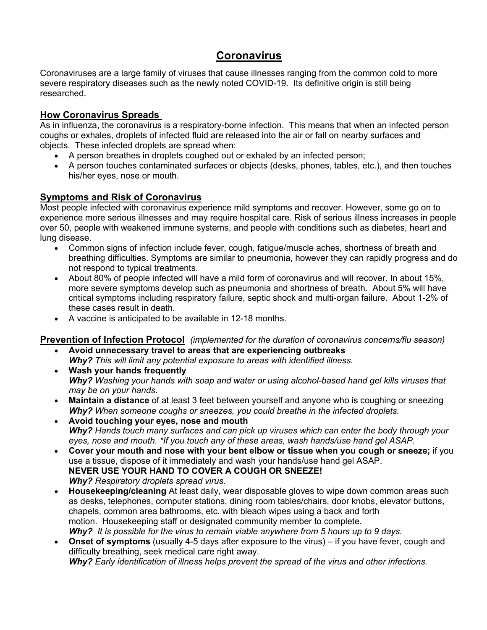# **Coronavirus**

Coronaviruses are a large family of viruses that cause illnesses ranging from the common cold to more severe respiratory diseases such as the newly noted COVID-19. Its definitive origin is still being researched.

### **How Coronavirus Spreads**

As in influenza, the coronavirus is a respiratory-borne infection. This means that when an infected person coughs or exhales, droplets of infected fluid are released into the air or fall on nearby surfaces and objects. These infected droplets are spread when:

- A person breathes in droplets coughed out or exhaled by an infected person;
- A person touches contaminated surfaces or objects (desks, phones, tables, etc.), and then touches his/her eyes, nose or mouth.

### **Symptoms and Risk of Coronavirus**

Most people infected with coronavirus experience mild symptoms and recover. However, some go on to experience more serious illnesses and may require hospital care. Risk of serious illness increases in people over 50, people with weakened immune systems, and people with conditions such as diabetes, heart and lung disease.

- Common signs of infection include fever, cough, fatigue/muscle aches, shortness of breath and breathing difficulties. Symptoms are similar to pneumonia, however they can rapidly progress and do not respond to typical treatments.
- About 80% of people infected will have a mild form of coronavirus and will recover. In about 15%, more severe symptoms develop such as pneumonia and shortness of breath. About 5% will have critical symptoms including respiratory failure, septic shock and multi-organ failure. About 1-2% of these cases result in death.
- A vaccine is anticipated to be available in 12-18 months.

#### **Prevention of Infection Protocol** *(implemented for the duration of coronavirus concerns/flu season)* • **Avoid unnecessary travel to areas that are experiencing outbreaks**

- *Why? This will limit any potential exposure to areas with identified illness.*
- **Wash your hands frequently** *Why? Washing your hands with soap and water or using alcohol-based hand gel kills viruses that may be on your hands.*
- **Maintain a distance** of at least 3 feet between yourself and anyone who is coughing or sneezing *Why? When someone coughs or sneezes, you could breathe in the infected droplets.*
- **Avoid touching your eyes, nose and mouth** *Why? Hands touch many surfaces and can pick up viruses which can enter the body through your eyes, nose and mouth. \*If you touch any of these areas, wash hands/use hand gel ASAP.*
- **Cover your mouth and nose with your bent elbow or tissue when you cough or sneeze;** if you use a tissue, dispose of it immediately and wash your hands/use hand gel ASAP. **NEVER USE YOUR HAND TO COVER A COUGH OR SNEEZE!**  *Why? Respiratory droplets spread virus.*
- **Housekeeping/cleaning** At least daily, wear disposable gloves to wipe down common areas such as desks, telephones, computer stations, dining room tables/chairs, door knobs, elevator buttons, chapels, common area bathrooms, etc. with bleach wipes using a back and forth motion. Housekeeping staff or designated community member to complete. *Why? It is possible for the virus to remain viable anywhere from 5 hours up to 9 days.*
- **Onset of symptoms** (usually 4-5 days after exposure to the virus) if you have fever, cough and difficulty breathing, seek medical care right away. *Why? Early identification of illness helps prevent the spread of the virus and other infections.*